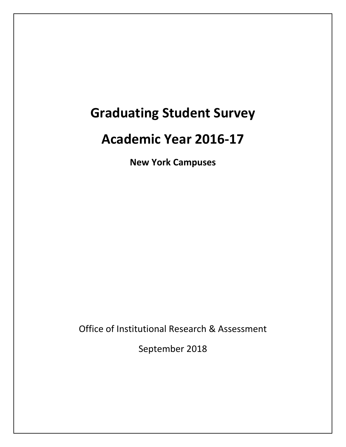# **Graduating Student Survey**

# **Academic Year 2016-17**

**New York Campuses** 

Office of Institutional Research & Assessment

September 2018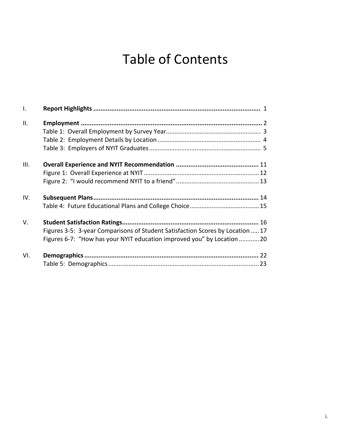# Table of Contents

| $\mathbf{I}$ . |                                                                                |
|----------------|--------------------------------------------------------------------------------|
| II.            |                                                                                |
|                |                                                                                |
|                |                                                                                |
|                |                                                                                |
| III.           |                                                                                |
|                |                                                                                |
|                |                                                                                |
| IV.            |                                                                                |
|                |                                                                                |
| V.             |                                                                                |
|                | Figures 3-5: 3-year Comparisons of Student Satisfaction Scores by Location  17 |
|                | Figures 6-7: "How has your NYIT education improved you" by Location  20        |
| VI.            |                                                                                |
|                |                                                                                |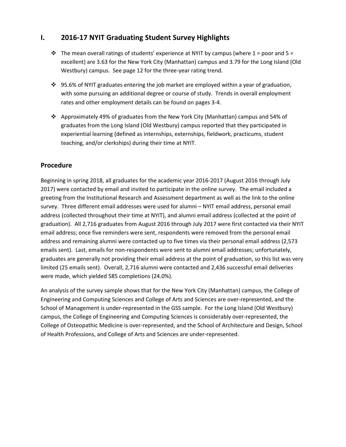### **I. 2016-17 NYIT Graduating Student Survey Highlights**

- $\div$  The mean overall ratings of students' experience at NYIT by campus (where 1 = poor and 5 = excellent) are 3.63 for the New York City (Manhattan) campus and 3.79 for the Long Island (Old Westbury) campus. See page 12 for the three-year rating trend.
- $\cdot$  95.6% of NYIT graduates entering the job market are employed within a year of graduation, with some pursuing an additional degree or course of study. Trends in overall employment rates and other employment details can be found on pages 3-4.
- Approximately 49% of graduates from the New York City (Manhattan) campus and 54% of graduates from the Long Island (Old Westbury) campus reported that they participated in experiential learning (defined as internships, externships, fieldwork, practicums, student teaching, and/or clerkships) during their time at NYIT.

### **Procedure**

Beginning in spring 2018, all graduates for the academic year 2016-2017 (August 2016 through July 2017) were contacted by email and invited to participate in the online survey. The email included a greeting from the Institutional Research and Assessment department as well as the link to the online survey. Three different email addresses were used for alumni – NYIT email address, personal email address (collected throughout their time at NYIT), and alumni email address (collected at the point of graduation). All 2,716 graduates from August 2016 through July 2017 were first contacted via their NYIT email address; once five reminders were sent, respondents were removed from the personal email address and remaining alumni were contacted up to five times via their personal email address (2,573 emails sent). Last, emails for non-respondents were sent to alumni email addresses; unfortunately, graduates are generally not providing their email address at the point of graduation, so this list was very limited (25 emails sent). Overall, 2,716 alumni were contacted and 2,436 successful email deliveries were made, which yielded 585 completions (24.0%).

An analysis of the survey sample shows that for the New York City (Manhattan) campus, the College of Engineering and Computing Sciences and College of Arts and Sciences are over-represented, and the School of Management is under-represented in the GSS sample. For the Long Island (Old Westbury) campus, the College of Engineering and Computing Sciences is considerably over-represented, the College of Osteopathic Medicine is over-represented, and the School of Architecture and Design, School of Health Professions, and College of Arts and Sciences are under-represented.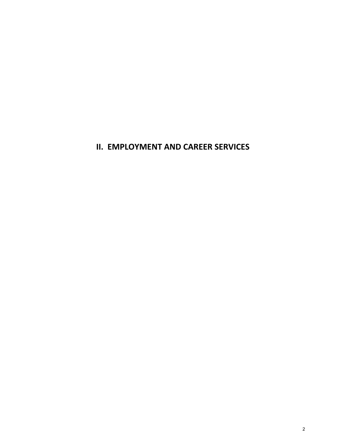**II. EMPLOYMENT AND CAREER SERVICES**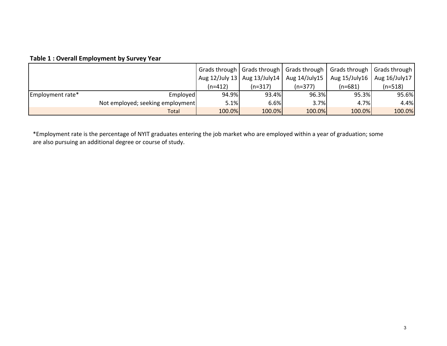### **Table 1 : Overall Employment by Survey Year**

|                  |                                  |         |                                 | Grads through   Grads through   Grads through | Grads through   Grads through |           |
|------------------|----------------------------------|---------|---------------------------------|-----------------------------------------------|-------------------------------|-----------|
|                  |                                  |         | Aug 12/July 13   Aug 13/July 14 | Aug 14/July15                                 | Aug 15/July16   Aug 16/July17 |           |
|                  |                                  | (n=412) | $(n=317)$                       | $(n=377)$                                     | (n=681)                       | $(n=518)$ |
| Employment rate* | Employed                         | 94.9%   | 93.4%                           | 96.3%                                         | 95.3%                         | 95.6%     |
|                  | Not employed; seeking employment | 5.1%    | 6.6%                            | 3.7%                                          | 4.7%                          | 4.4%      |
|                  | Total                            | 100.0%  | 100.0%                          | 100.0%                                        | 100.0%                        | 100.0%    |

\*Employment rate is the percentage of NYIT graduates entering the job market who are employed within a year of graduation; some are also pursuing an additional degree or course of study.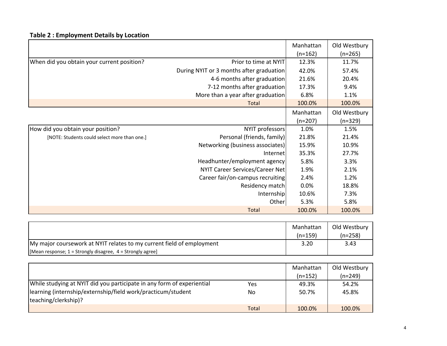## **Table 2 : Employment Details by Location**

|                                              |                                          | Manhattan | Old Westbury |
|----------------------------------------------|------------------------------------------|-----------|--------------|
|                                              |                                          | $(n=162)$ | $(n=265)$    |
| When did you obtain your current position?   | Prior to time at NYIT                    | 12.3%     | 11.7%        |
|                                              | During NYIT or 3 months after graduation | 42.0%     | 57.4%        |
|                                              | 4-6 months after graduation              | 21.6%     | 20.4%        |
|                                              | 7-12 months after graduation             | 17.3%     | 9.4%         |
|                                              | More than a year after graduation        | 6.8%      | 1.1%         |
|                                              | Total                                    | 100.0%    | 100.0%       |
|                                              |                                          | Manhattan | Old Westbury |
|                                              |                                          | $(n=207)$ | $(n=329)$    |
| How did you obtain your position?            | NYIT professors                          | 1.0%      | 1.5%         |
| [NOTE: Students could select more than one.] | Personal (friends, family)               | 21.8%     | 21.4%        |
|                                              | Networking (business associates)         | 15.9%     | 10.9%        |
|                                              | Internet                                 | 35.3%     | 27.7%        |
|                                              | Headhunter/employment agency             | 5.8%      | 3.3%         |
|                                              | NYIT Career Services/Career Net          | 1.9%      | 2.1%         |
|                                              | Career fair/on-campus recruiting         | 2.4%      | 1.2%         |
|                                              | Residency match                          | 0.0%      | 18.8%        |
|                                              | Internship                               | 10.6%     | 7.3%         |
|                                              | Other                                    | 5.3%      | 5.8%         |
|                                              | <b>Total</b>                             | 100.0%    | 100.0%       |

|                                                                       | Manhattan<br>$(n=159)$ | Old Westbury<br>$(n=258)$ |
|-----------------------------------------------------------------------|------------------------|---------------------------|
| My major coursework at NYIT relates to my current field of employment | 3.20                   | 3.43                      |
| [Mean response; 1 = Strongly disagree, 4 = Strongly agree]            |                        |                           |

|                                                                        |              | Manhattan | Old Westbury |
|------------------------------------------------------------------------|--------------|-----------|--------------|
|                                                                        |              | $(n=152)$ | $(n=249)$    |
| While studying at NYIT did you participate in any form of experiential | Yes          | 49.3%     | 54.2%        |
| learning (internship/externship/field work/practicum/student           | No           | 50.7%     | 45.8%        |
| teaching/clerkship)?                                                   |              |           |              |
|                                                                        | <b>Total</b> | 100.0%    | 100.0%       |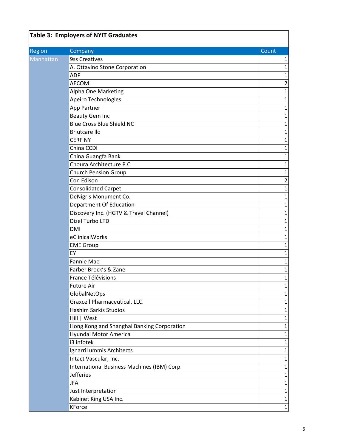| Region<br>Company<br>Count<br><b>9ss Creatives</b><br>Manhattan<br>A. Ottavino Stone Corporation<br><b>ADP</b><br><b>AECOM</b><br>Alpha One Marketing<br>$\mathbf 1$<br>Apeiro Technologies<br>App Partner<br><b>Beauty Gem Inc</b><br>$\mathbf 1$<br><b>Blue Cross Blue Shield NC</b><br>$\mathbf{1}$<br><b>Briutcare Ilc</b><br><b>CERF NY</b><br>China CCDI<br>China Guangfa Bank<br>$\mathbf 1$<br>Choura Architecture P.C<br><b>Church Pension Group</b><br>Con Edison<br>$\overline{2}$ |
|-----------------------------------------------------------------------------------------------------------------------------------------------------------------------------------------------------------------------------------------------------------------------------------------------------------------------------------------------------------------------------------------------------------------------------------------------------------------------------------------------|
|                                                                                                                                                                                                                                                                                                                                                                                                                                                                                               |
|                                                                                                                                                                                                                                                                                                                                                                                                                                                                                               |
|                                                                                                                                                                                                                                                                                                                                                                                                                                                                                               |
|                                                                                                                                                                                                                                                                                                                                                                                                                                                                                               |
|                                                                                                                                                                                                                                                                                                                                                                                                                                                                                               |
|                                                                                                                                                                                                                                                                                                                                                                                                                                                                                               |
|                                                                                                                                                                                                                                                                                                                                                                                                                                                                                               |
|                                                                                                                                                                                                                                                                                                                                                                                                                                                                                               |
|                                                                                                                                                                                                                                                                                                                                                                                                                                                                                               |
|                                                                                                                                                                                                                                                                                                                                                                                                                                                                                               |
|                                                                                                                                                                                                                                                                                                                                                                                                                                                                                               |
|                                                                                                                                                                                                                                                                                                                                                                                                                                                                                               |
|                                                                                                                                                                                                                                                                                                                                                                                                                                                                                               |
|                                                                                                                                                                                                                                                                                                                                                                                                                                                                                               |
|                                                                                                                                                                                                                                                                                                                                                                                                                                                                                               |
|                                                                                                                                                                                                                                                                                                                                                                                                                                                                                               |
|                                                                                                                                                                                                                                                                                                                                                                                                                                                                                               |
| <b>Consolidated Carpet</b><br>$\mathbf 1$                                                                                                                                                                                                                                                                                                                                                                                                                                                     |
| DeNigris Monument Co.<br>$\mathbf 1$                                                                                                                                                                                                                                                                                                                                                                                                                                                          |
| Department Of Education                                                                                                                                                                                                                                                                                                                                                                                                                                                                       |
| Discovery Inc. (HGTV & Travel Channel)                                                                                                                                                                                                                                                                                                                                                                                                                                                        |
| Dizel Turbo LTD<br>$\mathbf 1$                                                                                                                                                                                                                                                                                                                                                                                                                                                                |
| <b>DMI</b><br>$\mathbf 1$                                                                                                                                                                                                                                                                                                                                                                                                                                                                     |
| eClinicalWorks                                                                                                                                                                                                                                                                                                                                                                                                                                                                                |
| <b>EME Group</b>                                                                                                                                                                                                                                                                                                                                                                                                                                                                              |
| EY                                                                                                                                                                                                                                                                                                                                                                                                                                                                                            |
| $\mathbf 1$<br>Fannie Mae                                                                                                                                                                                                                                                                                                                                                                                                                                                                     |
| Farber Brock's & Zane<br>$\mathbf 1$                                                                                                                                                                                                                                                                                                                                                                                                                                                          |
| France Télévisions                                                                                                                                                                                                                                                                                                                                                                                                                                                                            |
| Future Air                                                                                                                                                                                                                                                                                                                                                                                                                                                                                    |
| GlobalNetOps                                                                                                                                                                                                                                                                                                                                                                                                                                                                                  |
| Graxcell Pharmaceutical, LLC.<br>$\mathbf 1$                                                                                                                                                                                                                                                                                                                                                                                                                                                  |
| <b>Hashim Sarkis Studios</b>                                                                                                                                                                                                                                                                                                                                                                                                                                                                  |
| Hill   West<br>$\mathbf 1$                                                                                                                                                                                                                                                                                                                                                                                                                                                                    |
| Hong Kong and Shanghai Banking Corporation                                                                                                                                                                                                                                                                                                                                                                                                                                                    |
| Hyundai Motor America                                                                                                                                                                                                                                                                                                                                                                                                                                                                         |
| i3 infotek<br>$\mathbf 1$                                                                                                                                                                                                                                                                                                                                                                                                                                                                     |
| IgnarriLummis Architects                                                                                                                                                                                                                                                                                                                                                                                                                                                                      |
| Intact Vascular, Inc.                                                                                                                                                                                                                                                                                                                                                                                                                                                                         |
| International Business Machines (IBM) Corp.<br>$\mathbf{1}$                                                                                                                                                                                                                                                                                                                                                                                                                                   |
| <b>Jefferies</b><br>$\mathbf 1$                                                                                                                                                                                                                                                                                                                                                                                                                                                               |
| <b>JFA</b>                                                                                                                                                                                                                                                                                                                                                                                                                                                                                    |
| Just Interpretation                                                                                                                                                                                                                                                                                                                                                                                                                                                                           |
| Kabinet King USA Inc.                                                                                                                                                                                                                                                                                                                                                                                                                                                                         |
| KForce<br>$\mathbf{1}$                                                                                                                                                                                                                                                                                                                                                                                                                                                                        |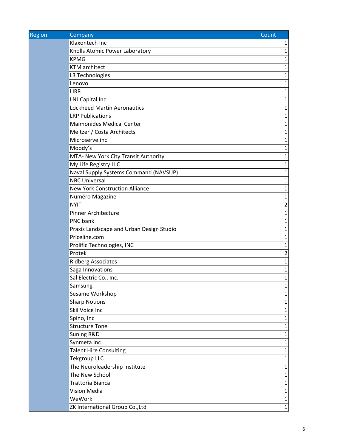| Region | Company                                  | Count          |
|--------|------------------------------------------|----------------|
|        | Klaxontech Inc                           | 1              |
|        | Knolls Atomic Power Laboratory           | $\mathbf 1$    |
|        | <b>KPMG</b>                              | 1              |
|        | <b>KTM</b> architect                     | 1              |
|        | L3 Technologies                          | 1              |
|        | Lenovo                                   | 1              |
|        | <b>LIRR</b>                              | 1              |
|        | LNJ Capital Inc                          | 1              |
|        | <b>Lockheed Martin Aeronautics</b>       | 1              |
|        | <b>LRP Publications</b>                  | 1              |
|        | <b>Maimonides Medical Center</b>         | 1              |
|        | Meltzer / Costa Architects               | $\mathbf{1}$   |
|        | Microserve.inc                           | 1              |
|        | Moody's                                  | 1              |
|        | MTA- New York City Transit Authority     | 1              |
|        | My Life Registry LLC                     | 1              |
|        | Naval Supply Systems Command (NAVSUP)    | $\mathbf 1$    |
|        | <b>NBC Universal</b>                     | 1              |
|        | <b>New York Construction Alliance</b>    | 1              |
|        | Numéro Magazine                          | 1              |
|        | <b>NYIT</b>                              | $\overline{2}$ |
|        | <b>Pinner Architecture</b>               | 1              |
|        | PNC bank                                 | 1              |
|        | Praxis Landscape and Urban Design Studio | 1              |
|        | Priceline.com                            | 1              |
|        | Prolific Technologies, INC               | 1              |
|        | Protek                                   | $\overline{2}$ |
|        | <b>Ridberg Associates</b>                | 1              |
|        | Saga Innovations                         | 1              |
|        | Sal Electric Co., Inc.                   | $\mathbf 1$    |
|        | Samsung                                  | 1              |
|        | Sesame Workshop                          | $\mathbf 1$    |
|        | <b>Sharp Notions</b>                     | 1              |
|        | SkillVoice Inc                           | 1              |
|        | Spino, Inc                               | $\mathbf 1$    |
|        | <b>Structure Tone</b>                    | 1              |
|        | Suning R&D                               | $\mathbf 1$    |
|        | Synmeta Inc                              | 1              |
|        | <b>Talent Hire Consulting</b>            | $\mathbf 1$    |
|        | <b>Tekgroup LLC</b>                      | $\mathbf 1$    |
|        | The Neuroleadership Institute            | 1              |
|        | The New School                           | $\mathbf 1$    |
|        | Trattoria Bianca                         | 1              |
|        | Vision Media                             | $\mathbf 1$    |
|        | WeWork                                   | 1              |
|        | ZK International Group Co., Ltd          | $\mathbf{1}$   |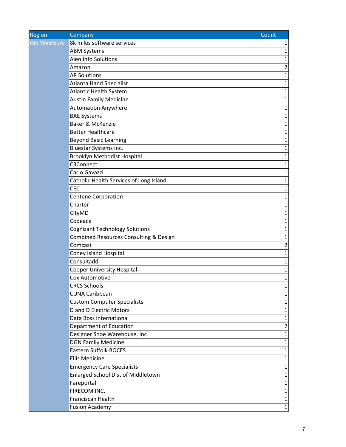| Region       | Company                                 | Count          |
|--------------|-----------------------------------------|----------------|
| Old Westbury | 8k miles software services              | 1              |
|              | <b>ABM Systems</b>                      | 1              |
|              | Alen Info Solutions                     | 1              |
|              | Amazon                                  | $\overline{2}$ |
|              | <b>AR Solutions</b>                     | 1              |
|              | <b>Atlanta Hand Specialist</b>          | 1              |
|              | <b>Atlantic Health System</b>           | 1              |
|              | <b>Austin Family Medicine</b>           | 1              |
|              | <b>Automation Anywhere</b>              | 1              |
|              | <b>BAE Systems</b>                      | 1              |
|              | Baker & McKenzie                        | 1              |
|              | <b>Better Healthcare</b>                | 1              |
|              | <b>Beyond Basic Learning</b>            | 1              |
|              | Bluestar Systems Inc.                   | 1              |
|              | <b>Brooklyn Methodist Hospital</b>      | $\mathbf 1$    |
|              | C3Connect                               | 1              |
|              | Carlo Gavazzi                           | $\mathbf{1}$   |
|              | Catholic Health Services of Long Island | 1              |
|              | <b>CEC</b>                              | 1              |
|              | <b>Centene Corporation</b>              | 1              |
|              | Charter                                 | 1              |
|              | CityMD                                  | 1              |
|              | Codeace                                 | 1              |
|              | <b>Cognizant Technology Solutions</b>   | 1              |
|              | Combined Resources Consulting & Design  | 1              |
|              | Comcast                                 | $\overline{2}$ |
|              | Coney Island Hospital                   | 1              |
|              | Consultadd                              | 1              |
|              | <b>Cooper University Hospital</b>       | 1              |
|              | Cox Automotive                          | $\mathbf 1$    |
|              | <b>CRCS Schools</b>                     | 1              |
|              | <b>CUNA Caribbean</b>                   | 1              |
|              | <b>Custom Computer Specialists</b>      | 1              |
|              | D and D Electric Motors                 | 1              |
|              | Data Boss international                 | $\mathbf{1}$   |
|              | Department of Education                 | 2              |
|              | Designer Shoe Warehouse, Inc            | 1              |
|              | <b>DGN Family Medicine</b>              | 1              |
|              | <b>Eastern Suffolk BOCES</b>            | 1              |
|              | <b>Ellis Medicine</b>                   | $\mathbf{1}$   |
|              | <b>Emergency Care Specialists</b>       | 1              |
|              | Enlarged School Dist of Middletown      | 1              |
|              | Fareportal                              | 1              |
|              | FIRECOM INC.                            | 1              |
|              | Franciscan Health                       | 1              |
|              | <b>Fusion Academy</b>                   | $\mathbf 1$    |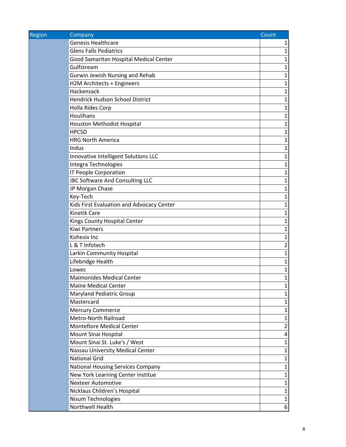| <b>Region</b> | Company                                   | Count        |
|---------------|-------------------------------------------|--------------|
|               | <b>Genesis Healthcare</b>                 | 1            |
|               | <b>Glens Falls Pediatrics</b>             | $\mathbf 1$  |
|               | Good Samaritan Hospital Medical Center    | 1            |
|               | Gulfstream                                | 1            |
|               | Gurwin Jewish Nursing and Rehab           | 1            |
|               | H2M Architects + Engineers                | 1            |
|               | Hackensack                                | 1            |
|               | Hendrick Hudson School District           | 1            |
|               | Holla Rides Corp                          | 1            |
|               | Houlihans                                 | 1            |
|               | Houston Methodist Hospital                | 1            |
|               | <b>HPCSD</b>                              | 1            |
|               | <b>HRG North America</b>                  | 1            |
|               | Indus                                     | 1            |
|               | Innovative Intelligent Solutions LLC      | 1            |
|               | Integra Technologies                      | 1            |
|               | IT People Corporation                     | 1            |
|               | JBC Software And Consulting LLC           | $\mathbf 1$  |
|               | JP Morgan Chase                           | 1            |
|               | Key-Tech                                  | 1            |
|               | Kids First Evaluation and Advocacy Center | 1            |
|               | <b>Kinetik Care</b>                       | 1            |
|               | Kings County Hospital Center              | 1            |
|               | <b>Kiwi Partners</b>                      | 1            |
|               | Kohesiv Inc                               | 1            |
|               | L & T Infotech                            | 2            |
|               | Larkin Community Hospital                 | 1            |
|               | Lifebridge Health                         | 1            |
|               | Lowes                                     | 1            |
|               | <b>Maimonides Medical Center</b>          | 1            |
|               | <b>Maine Medical Center</b>               | Ŧ            |
|               | <b>Maryland Pediatric Group</b>           | $\mathbf{1}$ |
|               | Mastercard                                | 1            |
|               | <b>Mercury Commerce</b>                   | 1            |
|               | Metro-North Railroad                      | 1            |
|               | <b>Montefiore Medical Center</b>          | 2            |
|               | Mount Sinai Hospital                      | 4            |
|               | Mount Sinai St. Luke's / West             | 1            |
|               | Nassau University Medical Center          | 1            |
|               | <b>National Grid</b>                      | 1            |
|               | <b>National Housing Services Company</b>  | $\mathbf 1$  |
|               | New York Learning Center Institue         | 1            |
|               | <b>Nexteer Automotive</b>                 | $\mathbf{1}$ |
|               | Nicklaus Children's Hospital              | 1            |
|               | Nisum Technologies                        | 1            |
|               | Northwell Health                          | 6            |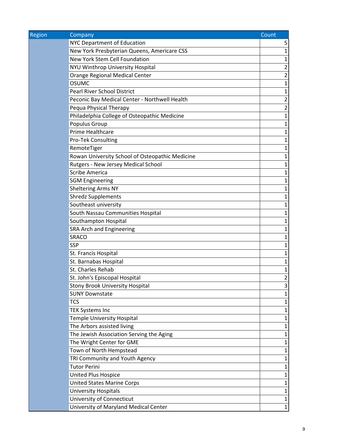| <b>Region</b> | Company                                         | Count          |
|---------------|-------------------------------------------------|----------------|
|               | NYC Department of Education                     | 5              |
|               | New York Presbyterian Queens, Americare CSS     | $\mathbf{1}$   |
|               | New York Stem Cell Foundation                   | $\mathbf{1}$   |
|               | NYU Winthrop University Hospital                | $\overline{2}$ |
|               | <b>Orange Regional Medical Center</b>           | $\overline{2}$ |
|               | <b>OSUMC</b>                                    | $\mathbf{1}$   |
|               | <b>Pearl River School District</b>              | $\mathbf{1}$   |
|               | Peconic Bay Medical Center - Northwell Health   | 2              |
|               | Pequa Physical Therapy                          | $\overline{2}$ |
|               | Philadelphia College of Osteopathic Medicine    | $\mathbf{1}$   |
|               | Populus Group                                   | $\mathbf 1$    |
|               | Prime Healthcare                                | $\mathbf{1}$   |
|               | Pro-Tek Consulting                              | 1              |
|               | RemoteTiger                                     | 1              |
|               | Rowan University School of Osteopathic Medicine | $\mathbf 1$    |
|               | Rutgers - New Jersey Medical School             | 1              |
|               | <b>Scribe America</b>                           | $\mathbf{1}$   |
|               | <b>SGM Engineering</b>                          | $\mathbf 1$    |
|               | <b>Sheltering Arms NY</b>                       | 1              |
|               | <b>Shredz Supplements</b>                       | $\mathbf 1$    |
|               | Southeast university                            | $\mathbf{1}$   |
|               | South Nassau Communities Hospital               | $\mathbf 1$    |
|               | Southampton Hospital                            | 1              |
|               | SRA Arch and Engineering                        | $\mathbf{1}$   |
|               | <b>SRACO</b>                                    | $\mathbf{1}$   |
|               | <b>SSP</b>                                      | $\mathbf{1}$   |
|               | St. Francis Hospital                            | $\mathbf 1$    |
|               | St. Barnabas Hospital                           | $\mathbf 1$    |
|               | St. Charles Rehab                               | $\mathbf 1$    |
|               | St. John's Episcopal Hospital                   | $\overline{2}$ |
|               | <b>Stony Brook University Hospital</b>          | 3              |
|               | <b>SUNY Downstate</b>                           | $\mathbf{1}$   |
|               | <b>TCS</b>                                      | $\mathbf 1$    |
|               | <b>TEK Systems Inc</b>                          | $\mathbf{1}$   |
|               | <b>Temple University Hospital</b>               | $\mathbf{1}$   |
|               | The Arbors assisted living                      | 1              |
|               | The Jewish Association Serving the Aging        | 1              |
|               | The Wright Center for GME                       | 1              |
|               | Town of North Hempstead                         | $\mathbf 1$    |
|               | TRI Community and Youth Agency                  | $\mathbf{1}$   |
|               | <b>Tutor Perini</b>                             | 1              |
|               | United Plus Hospice                             | $\mathbf 1$    |
|               | <b>United States Marine Corps</b>               | 1              |
|               | <b>University Hospitals</b>                     | $\mathbf 1$    |
|               | University of Connecticut                       | $\mathbf{1}$   |
|               | University of Maryland Medical Center           | 1              |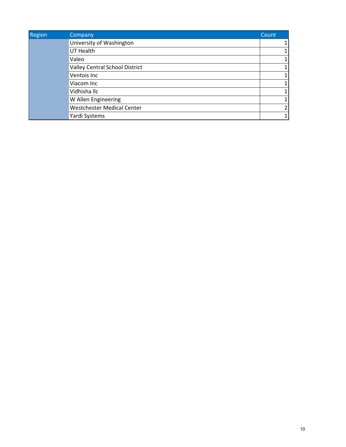| <b>Region</b> | Company                           | Count |
|---------------|-----------------------------------|-------|
|               | University of Washington          |       |
|               | UT Health                         |       |
|               | Valeo                             |       |
|               | Valley Central School District    |       |
|               | Ventois Inc                       |       |
|               | Viacom Inc                        |       |
|               | Vidhisha llc                      |       |
|               | W Allen Engineering               |       |
|               | <b>Westchester Medical Center</b> |       |
|               | Yardi Systems                     |       |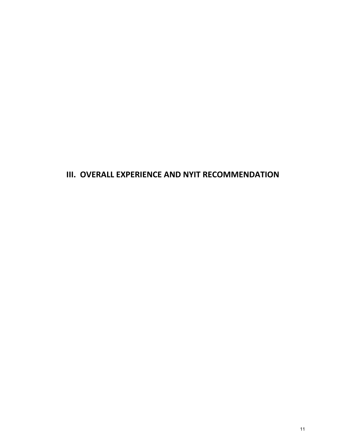## **III. OVERALL EXPERIENCE AND NYIT RECOMMENDATION**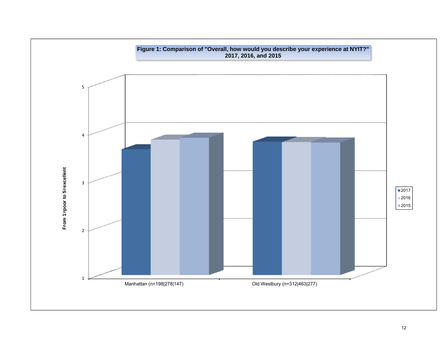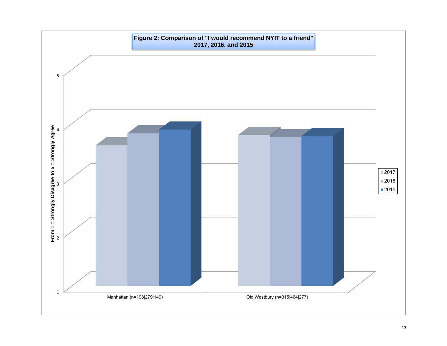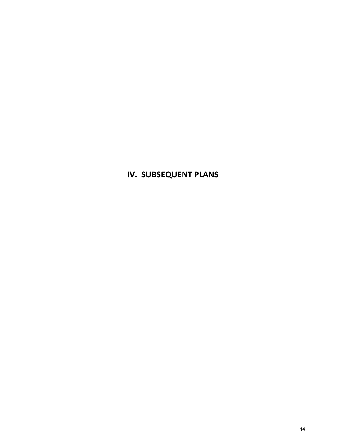# **IV. SUBSEQUENT PLANS**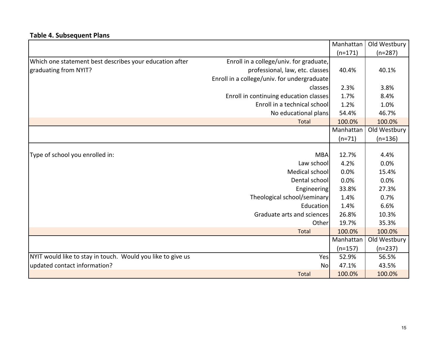## **Table 4. Subsequent Plans**

|                                                             |                                             | Manhattan | Old Westbury |
|-------------------------------------------------------------|---------------------------------------------|-----------|--------------|
|                                                             |                                             | $(n=171)$ | $(n=287)$    |
| Which one statement best describes your education after     | Enroll in a college/univ. for graduate,     |           |              |
| graduating from NYIT?                                       | professional, law, etc. classes             | 40.4%     | 40.1%        |
|                                                             | Enroll in a college/univ. for undergraduate |           |              |
|                                                             | classes                                     | 2.3%      | 3.8%         |
|                                                             | Enroll in continuing education classes      | 1.7%      | 8.4%         |
|                                                             | Enroll in a technical school                | 1.2%      | 1.0%         |
|                                                             | No educational plans                        | 54.4%     | 46.7%        |
|                                                             | Total                                       | 100.0%    | 100.0%       |
|                                                             |                                             | Manhattan | Old Westbury |
|                                                             |                                             | $(n=71)$  | $(n=136)$    |
|                                                             |                                             |           |              |
| Type of school you enrolled in:                             | <b>MBA</b>                                  | 12.7%     | 4.4%         |
|                                                             | Law school                                  | 4.2%      | 0.0%         |
|                                                             | Medical school                              | 0.0%      | 15.4%        |
|                                                             | Dental school                               | 0.0%      | 0.0%         |
|                                                             | Engineering                                 | 33.8%     | 27.3%        |
|                                                             | Theological school/seminary                 | 1.4%      | 0.7%         |
|                                                             | Education                                   | 1.4%      | 6.6%         |
|                                                             | Graduate arts and sciences                  | 26.8%     | 10.3%        |
|                                                             | Other                                       | 19.7%     | 35.3%        |
|                                                             | Total                                       | 100.0%    | 100.0%       |
|                                                             |                                             | Manhattan | Old Westbury |
|                                                             |                                             | $(n=157)$ | $(n=237)$    |
| NYIT would like to stay in touch. Would you like to give us | Yes                                         | 52.9%     | 56.5%        |
| updated contact information?                                | <b>No</b>                                   | 47.1%     | 43.5%        |
|                                                             | <b>Total</b>                                | 100.0%    | 100.0%       |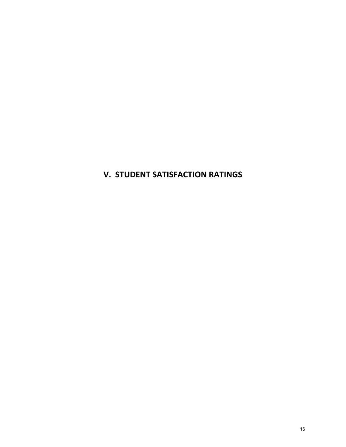## **V. STUDENT SATISFACTION RATINGS**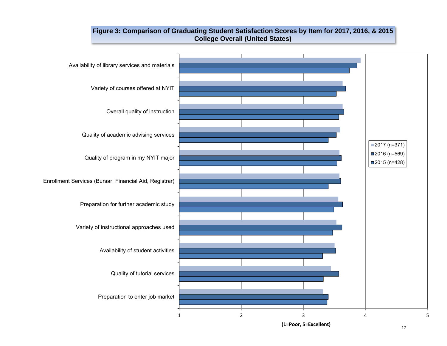### **Figure 3: Comparison of Graduating Student Satisfaction Scores by Item for 2017, 2016, & 2015 College Overall (United States)**



**(1=Poor, 5=Excellent)**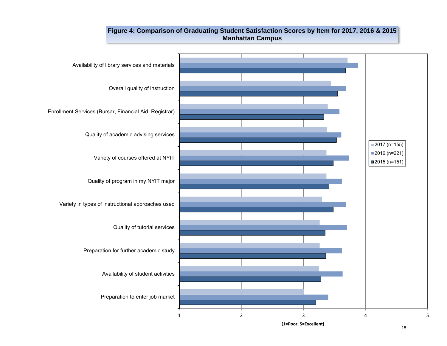### **Figure 4: Comparison of Graduating Student Satisfaction Scores by Item for 2017, 2016 & 2015 Manhattan Campus**



**(1=Poor, 5=Excellent)**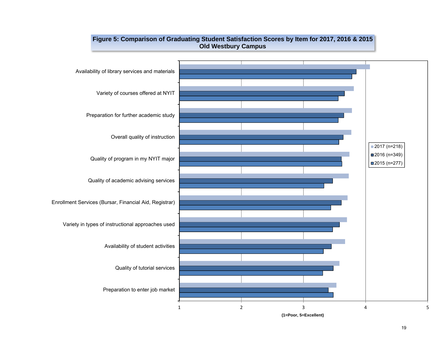

#### **Figure 5: Comparison of Graduating Student Satisfaction Scores by Item for 2017, 2016 & 2015 Old Westbury Campus**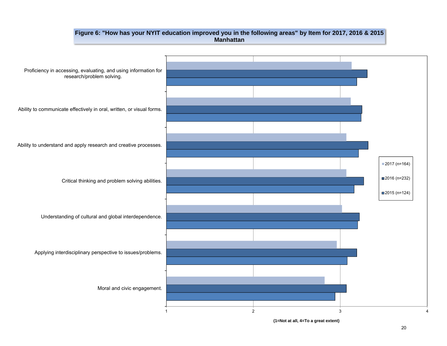#### **Figure 6: "How has your NYIT education improved you in the following areas" by Item for 2017, 2016 & 2015 Manhattan**



**(1=Not at all, 4=To a great extent)**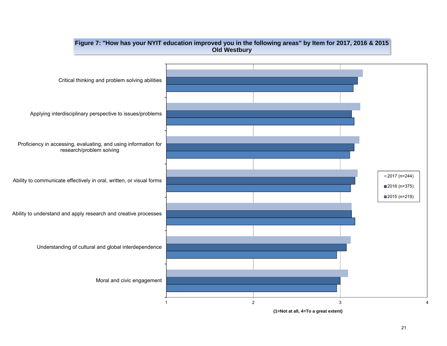

**(1=Not at all, 4=To a great extent)**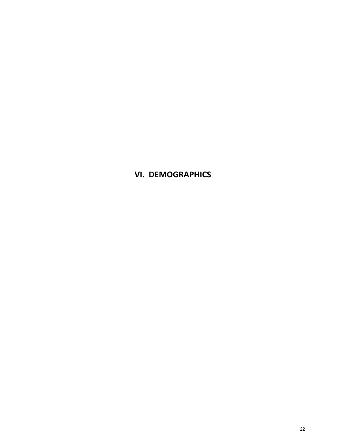**VI. DEMOGRAPHICS**